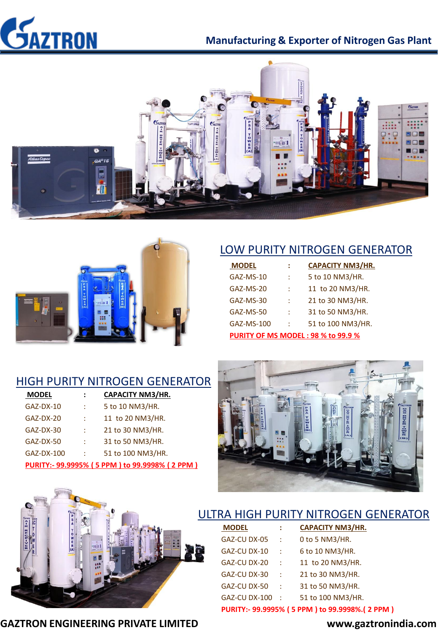

## **Manufacturing & Exporter of Nitrogen Gas Plant**





# LOW PURITY NITROGEN GENERATOR

| <b>MODEL</b>                              | ፡ | <b>CAPACITY NM3/HR.</b> |  |  |
|-------------------------------------------|---|-------------------------|--|--|
| GAZ-MS-10                                 | t | 5 to 10 NM3/HR.         |  |  |
| GAZ-MS-20                                 | t | 11 to 20 NM3/HR.        |  |  |
| GAZ-MS-30                                 | t | 21 to 30 NM3/HR.        |  |  |
| GAZ-MS-50                                 | t | 31 to 50 NM3/HR.        |  |  |
| GAZ-MS-100                                | t | 51 to 100 NM3/HR.       |  |  |
| <b>PURITY OF MS MODEL: 98 % to 99.9 %</b> |   |                         |  |  |

## HIGH PURITY NITROGEN GENERATOR

| <b>MODEL</b> | $\ddot{\cdot}$ | <b>CAPACITY NM3/HR.</b>                       |
|--------------|----------------|-----------------------------------------------|
| GAZ-DX-10    | ÷              | 5 to 10 NM3/HR.                               |
| GAZ-DX-20    | ÷              | 11 to 20 NM3/HR.                              |
| GAZ-DX-30    | t              | 21 to 30 NM3/HR.                              |
| GAZ-DX-50    | t              | 31 to 50 NM3/HR.                              |
| GAZ-DX-100   | ÷              | 51 to 100 NM3/HR.                             |
|              |                | PURITY:- 99.9995% (5 PPM) to 99.9998% (2 PPM) |





| <b>MODEL</b>                                   | ÷   | CAPACITY NM3/HR.  |  |  |
|------------------------------------------------|-----|-------------------|--|--|
| GAZ-CU DX-05                                   | đ   | 0 to 5 NM3/HR.    |  |  |
| GAZ-CU DX-10                                   | ÷   | 6 to 10 NM3/HR.   |  |  |
| GAZ-CU DX-20                                   | đ   | 11 to 20 NM3/HR.  |  |  |
| GAZ-CU DX-30                                   | ÷   | 21 to 30 NM3/HR.  |  |  |
| GAZ-CU DX-50                                   | ÷.  | 31 to 50 NM3/HR.  |  |  |
| GAZ-CU DX-100                                  | - 1 | 51 to 100 NM3/HR. |  |  |
| PURITY:- 99.9995% (5 PPM) to 99.9998%. (2 PPM) |     |                   |  |  |

**GAZTRON ENGINEERING PRIVATE LIMITED www.gaztronindia.com**